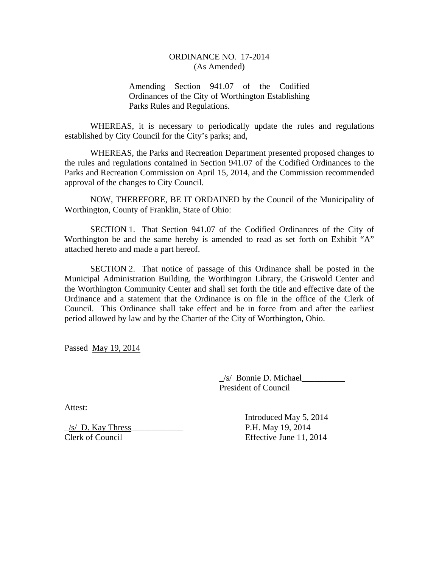## ORDINANCE NO. 17-2014 (As Amended)

Amending Section 941.07 of the Codified Ordinances of the City of Worthington Establishing Parks Rules and Regulations.

WHEREAS, it is necessary to periodically update the rules and regulations established by City Council for the City's parks; and,

WHEREAS, the Parks and Recreation Department presented proposed changes to the rules and regulations contained in Section 941.07 of the Codified Ordinances to the Parks and Recreation Commission on April 15, 2014, and the Commission recommended approval of the changes to City Council.

 NOW, THEREFORE, BE IT ORDAINED by the Council of the Municipality of Worthington, County of Franklin, State of Ohio:

 SECTION 1. That Section 941.07 of the Codified Ordinances of the City of Worthington be and the same hereby is amended to read as set forth on Exhibit "A" attached hereto and made a part hereof.

SECTION 2. That notice of passage of this Ordinance shall be posted in the Municipal Administration Building, the Worthington Library, the Griswold Center and the Worthington Community Center and shall set forth the title and effective date of the Ordinance and a statement that the Ordinance is on file in the office of the Clerk of Council. This Ordinance shall take effect and be in force from and after the earliest period allowed by law and by the Charter of the City of Worthington, Ohio.

Passed May 19, 2014

 \_/s/ Bonnie D. Michael\_\_\_\_\_\_\_\_\_\_ President of Council

Attest:

\_/s/ D. Kay Thress\_\_\_\_\_\_\_\_\_\_\_\_ P.H. May 19, 2014 Clerk of Council Effective June 11, 2014

Introduced May 5, 2014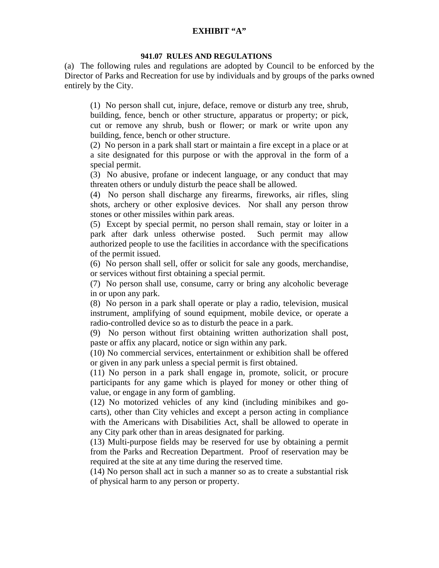## **EXHIBIT "A"**

## **941.07 RULES AND REGULATIONS**

(a) The following rules and regulations are adopted by Council to be enforced by the Director of Parks and Recreation for use by individuals and by groups of the parks owned entirely by the City.

(1) No person shall cut, injure, deface, remove or disturb any tree, shrub,

building, fence, bench or other structure, apparatus or property; or pick, cut or remove any shrub, bush or flower; or mark or write upon any building, fence, bench or other structure.

(2) No person in a park shall start or maintain a fire except in a place or at a site designated for this purpose or with the approval in the form of a special permit.

(3) No abusive, profane or indecent language, or any conduct that may threaten others or unduly disturb the peace shall be allowed.

(4) No person shall discharge any firearms, fireworks, air rifles, sling shots, archery or other explosive devices. Nor shall any person throw stones or other missiles within park areas.

(5) Except by special permit, no person shall remain, stay or loiter in a park after dark unless otherwise posted. Such permit may allow authorized people to use the facilities in accordance with the specifications of the permit issued.

(6) No person shall sell, offer or solicit for sale any goods, merchandise, or services without first obtaining a special permit.

(7) No person shall use, consume, carry or bring any alcoholic beverage in or upon any park.

(8) No person in a park shall operate or play a radio, television, musical instrument, amplifying of sound equipment, mobile device, or operate a radio-controlled device so as to disturb the peace in a park.

(9) No person without first obtaining written authorization shall post, paste or affix any placard, notice or sign within any park.

(10) No commercial services, entertainment or exhibition shall be offered or given in any park unless a special permit is first obtained.

(11) No person in a park shall engage in, promote, solicit, or procure participants for any game which is played for money or other thing of value, or engage in any form of gambling.

(12) No motorized vehicles of any kind (including minibikes and gocarts), other than City vehicles and except a person acting in compliance with the Americans with Disabilities Act, shall be allowed to operate in any City park other than in areas designated for parking.

(13) Multi-purpose fields may be reserved for use by obtaining a permit from the Parks and Recreation Department. Proof of reservation may be required at the site at any time during the reserved time.

(14) No person shall act in such a manner so as to create a substantial risk of physical harm to any person or property.